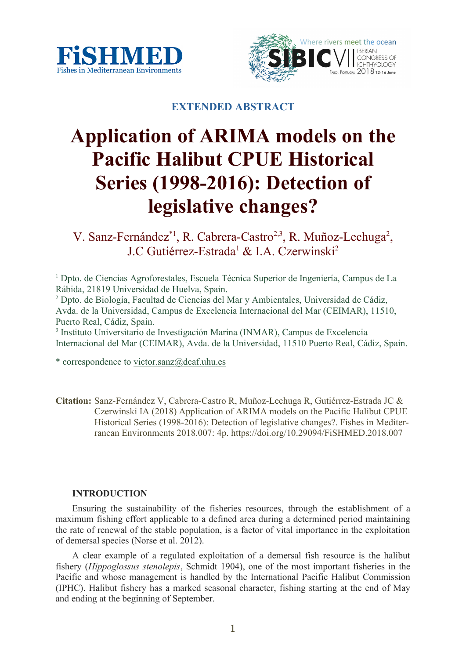



# **EXTENDED ABSTRACT**

# **Application of ARIMA models on the Pacific Halibut CPUE Historical Series (1998-2016): Detection of legislative changes?**

V. Sanz-Fernández\*<sup>1</sup>, R. Cabrera-Castro<sup>2,3</sup>, R. Muñoz-Lechuga<sup>2</sup>, J.C Gutiérrez-Estrada<sup>1</sup> & I.A. Czerwinski<sup>2</sup>

<sup>1</sup> Dpto. de Ciencias Agroforestales, Escuela Técnica Superior de Ingeniería, Campus de La Rábida, 21819 Universidad de Huelva, Spain.

<sup>2</sup> Dpto. de Biología, Facultad de Ciencias del Mar y Ambientales, Universidad de Cádiz, Avda. de la Universidad, Campus de Excelencia Internacional del Mar (CEIMAR), 11510, Puerto Real, Cádiz, Spain.

3 Instituto Universitario de Investigación Marina (INMAR), Campus de Excelencia Internacional del Mar (CEIMAR), Avda. de la Universidad, 11510 Puerto Real, Cádiz, Spain.

\* correspondence to victor.sanz@dcaf.uhu.es

**Citation:** Sanz-Fernández V, Cabrera-Castro R, Muñoz-Lechuga R, Gutiérrez-Estrada JC & Czerwinski IA (2018) Application of ARIMA models on the Pacific Halibut CPUE Historical Series (1998-2016): Detection of legislative changes?. Fishes in Mediterranean Environments 2018.007: 4p. https://doi.org/10.29094/FiSHMED.2018.007

## **INTRODUCTION**

Ensuring the sustainability of the fisheries resources, through the establishment of a maximum fishing effort applicable to a defined area during a determined period maintaining the rate of renewal of the stable population, is a factor of vital importance in the exploitation of demersal species (Norse et al. 2012).

A clear example of a regulated exploitation of a demersal fish resource is the halibut fishery (*Hippoglossus stenolepis*, Schmidt 1904), one of the most important fisheries in the Pacific and whose management is handled by the International Pacific Halibut Commission (IPHC). Halibut fishery has a marked seasonal character, fishing starting at the end of May and ending at the beginning of September.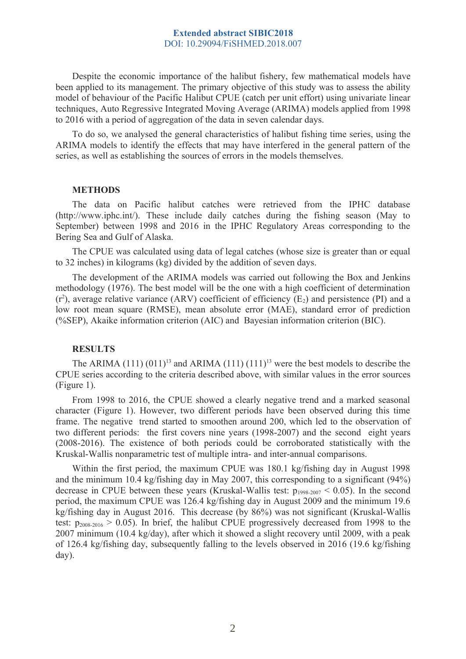#### **Extended abstract SIBIC2018** DOI: 10.29094/FiSHMED.2018.007

Despite the economic importance of the halibut fishery, few mathematical models have been applied to its management. The primary objective of this study was to assess the ability model of behaviour of the Pacific Halibut CPUE (catch per unit effort) using univariate linear techniques, Auto Regressive Integrated Moving Average (ARIMA) models applied from 1998 to 2016 with a period of aggregation of the data in seven calendar days.

To do so, we analysed the general characteristics of halibut fishing time series, using the ARIMA models to identify the effects that may have interfered in the general pattern of the series, as well as establishing the sources of errors in the models themselves.

#### **METHODS**

The data on Pacific halibut catches were retrieved from the IPHC database (http://www.iphc.int/). These include daily catches during the fishing season (May to September) between 1998 and 2016 in the IPHC Regulatory Areas corresponding to the Bering Sea and Gulf of Alaska.

The CPUE was calculated using data of legal catches (whose size is greater than or equal to 32 inches) in kilograms (kg) divided by the addition of seven days.

The development of the ARIMA models was carried out following the Box and Jenkins methodology (1976). The best model will be the one with a high coefficient of determination  $(r^2)$ , average relative variance (ARV) coefficient of efficiency (E<sub>2</sub>) and persistence (PI) and a low root mean square (RMSE), mean absolute error (MAE), standard error of prediction (%SEP), Akaike information criterion (AIC) and Bayesian information criterion (BIC).

### **RESULTS**

The ARIMA  $(111) (011)^{13}$  and ARIMA  $(111) (111)^{13}$  were the best models to describe the CPUE series according to the criteria described above, with similar values in the error sources (Figure 1).

From 1998 to 2016, the CPUE showed a clearly negative trend and a marked seasonal character (Figure 1). However, two different periods have been observed during this time frame. The negative trend started to smoothen around 200, which led to the observation of two different periods: the first covers nine years (1998-2007) and the second eight years (2008-2016). The existence of both periods could be corroborated statistically with the Kruskal-Wallis nonparametric test of multiple intra- and inter-annual comparisons.

Within the first period, the maximum CPUE was 180.1 kg/fishing day in August 1998 and the minimum 10.4 kg/fishing day in May 2007, this corresponding to a significant (94%) decrease in CPUE between these years (Kruskal-Wallis test:  $p_{1998-2007}$  < 0.05). In the second period, the maximum CPUE was 126.4 kg/fishing day in August 2009 and the minimum 19.6 kg/fishing day in August 2016. This decrease (by 86%) was not significant (Kruskal-Wallis test:  $p_{2008-2016} > 0.05$ ). In brief, the halibut CPUE progressively decreased from 1998 to the 2007 minimum (10.4 kg/day), after which it showed a slight recovery until 2009, with a peak of 126.4 kg/fishing day, subsequently falling to the levels observed in 2016 (19.6 kg/fishing day).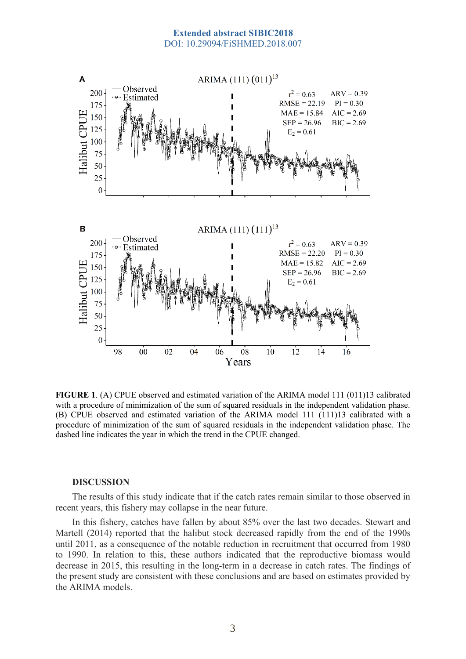#### **Extended abstract SIBIC2018** DOI: 10.29094/FiSHMED.2018.007



**FIGURE 1**. (A) CPUE observed and estimated variation of the ARIMA model 111 (011)13 calibrated with a procedure of minimization of the sum of squared residuals in the independent validation phase. (B) CPUE observed and estimated variation of the ARIMA model 111 (111)13 calibrated with a procedure of minimization of the sum of squared residuals in the independent validation phase. The dashed line indicates the year in which the trend in the CPUE changed.

#### **DISCUSSION**

The results of this study indicate that if the catch rates remain similar to those observed in recent years, this fishery may collapse in the near future.

In this fishery, catches have fallen by about 85% over the last two decades. Stewart and Martell (2014) reported that the halibut stock decreased rapidly from the end of the 1990s until 2011, as a consequence of the notable reduction in recruitment that occurred from 1980 to 1990. In relation to this, these authors indicated that the reproductive biomass would decrease in 2015, this resulting in the long-term in a decrease in catch rates. The findings of the present study are consistent with these conclusions and are based on estimates provided by the ARIMA models.